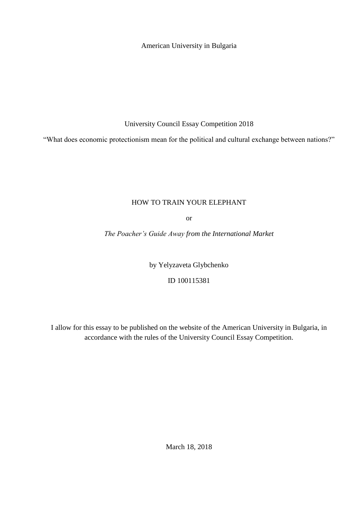American University in Bulgaria

University Council Essay Competition 2018

"What does economic protectionism mean for the political and cultural exchange between nations?"

## HOW TO TRAIN YOUR ELEPHANT

or

*The Poacher's Guide Away from the International Market*

by Yelyzaveta Glybchenko

ID 100115381

I allow for this essay to be published on the website of the American University in Bulgaria, in accordance with the rules of the University Council Essay Competition.

March 18, 2018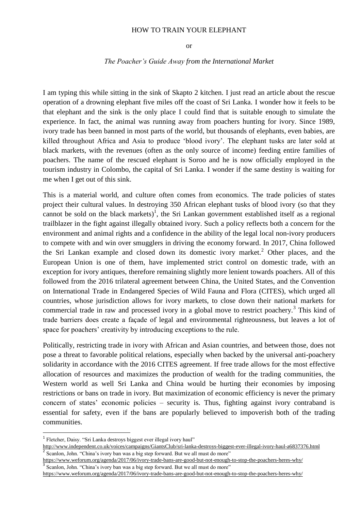## HOW TO TRAIN YOUR ELEPHANT

or

## *The Poacher's Guide Away from the International Market*

I am typing this while sitting in the sink of Skapto 2 kitchen. I just read an article about the rescue operation of a drowning elephant five miles off the coast of Sri Lanka. I wonder how it feels to be that elephant and the sink is the only place I could find that is suitable enough to simulate the experience. In fact, the animal was running away from poachers hunting for ivory. Since 1989, ivory trade has been banned in most parts of the world, but thousands of elephants, even babies, are killed throughout Africa and Asia to produce 'blood ivory'. The elephant tusks are later sold at black markets, with the revenues (often as the only source of income) feeding entire families of poachers. The name of the rescued elephant is Soroo and he is now officially employed in the tourism industry in Colombo, the capital of Sri Lanka. I wonder if the same destiny is waiting for me when I get out of this sink.

This is a material world, and culture often comes from economics. The trade policies of states project their cultural values. In destroying 350 African elephant tusks of blood ivory (so that they cannot be sold on the black markets)<sup>1</sup>, the Sri Lankan government established itself as a regional trailblazer in the fight against illegally obtained ivory. Such a policy reflects both a concern for the environment and animal rights and a confidence in the ability of the legal local non-ivory producers to compete with and win over smugglers in driving the economy forward. In 2017, China followed the Sri Lankan example and closed down its domestic ivory market.<sup>2</sup> Other places, and the European Union is one of them, have implemented strict control on domestic trade, with an exception for ivory antiques, therefore remaining slightly more lenient towards poachers. All of this followed from the 2016 trilateral agreement between China, the United States, and the Convention on International Trade in Endangered Species of Wild Fauna and Flora (CITES), which urged all countries, whose jurisdiction allows for ivory markets, to close down their national markets for commercial trade in raw and processed ivory in a global move to restrict poachery.<sup>3</sup> This kind of trade barriers does create a façade of legal and environmental righteousness, but leaves a lot of space for poachers' creativity by introducing exceptions to the rule.

Politically, restricting trade in ivory with African and Asian countries, and between those, does not pose a threat to favorable political relations, especially when backed by the universal anti-poachery solidarity in accordance with the 2016 CITES agreement. If free trade allows for the most effective allocation of resources and maximizes the production of wealth for the trading communities, the Western world as well Sri Lanka and China would be hurting their economies by imposing restrictions or bans on trade in ivory. But maximization of economic efficiency is never the primary concern of states' economic policies – security is. Thus, fighting against ivory contraband is essential for safety, even if the bans are popularly believed to impoverish both of the trading communities.

**.** 

<sup>&</sup>lt;sup>1</sup> Fletcher, Daisy. "Sri Lanka destroys biggest ever illegal ivory haul"

<http://www.independent.co.uk/voices/campaigns/GiantsClub/sri-lanka-destroys-biggest-ever-illegal-ivory-haul-a6837376.html> 2 Scanlon, John. "China's ivory ban was a big step forward. But we all must do more"

<https://www.weforum.org/agenda/2017/06/ivory-trade-bans-are-good-but-not-enough-to-stop-the-poachers-heres-why/> 3 Scanlon, John. "China's ivory ban was a big step forward. But we all must do more"

<https://www.weforum.org/agenda/2017/06/ivory-trade-bans-are-good-but-not-enough-to-stop-the-poachers-heres-why/>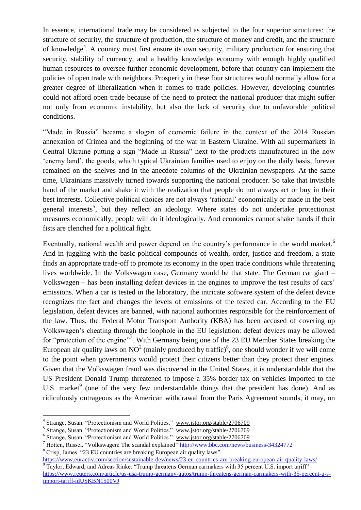In essence, international trade may be considered as subjected to the four superior structures: the structure of security, the structure of production, the structure of money and credit, and the structure of knowledge<sup>4</sup>. A country must first ensure its own security, military production for ensuring that security, stability of currency, and a healthy knowledge economy with enough highly qualified human resources to oversee further economic development, before that country can implement the policies of open trade with neighbors. Prosperity in these four structures would normally allow for a greater degree of liberalization when it comes to trade policies. However, developing countries could not afford open trade because of the need to protect the national producer that might suffer not only from economic instability, but also the lack of security due to unfavorable political conditions.

"Made in Russia" became a slogan of economic failure in the context of the 2014 Russian annexation of Crimea and the beginning of the war in Eastern Ukraine. With all supermarkets in Central Ukraine putting a sign "Made in Russia" next to the products manufactured in the now 'enemy land', the goods, which typical Ukrainian families used to enjoy on the daily basis, forever remained on the shelves and in the anecdote columns of the Ukrainian newspapers. At the same time, Ukrainians massively turned towards supporting the national producer. So take that invisible hand of the market and shake it with the realization that people do not always act or buy in their best interests. Collective political choices are not always 'rational' economically or made in the best general interests<sup>5</sup>, but they reflect an ideology. Where states do not undertake protectionist measures economically, people will do it ideologically. And economies cannot shake hands if their fists are clenched for a political fight.

Eventually, national wealth and power depend on the country's performance in the world market.<sup>6</sup> And in juggling with the basic political compounds of wealth, order, justice and freedom, a state finds an appropriate trade-off to promote its economy in the open trade conditions while threatening lives worldwide. In the Volkswagen case, Germany would be that state. The German car giant – Volkswagen – has been installing defeat devices in the engines to improve the test results of cars' emissions. When a car is tested in the laboratory, the intricate software system of the defeat device recognizes the fact and changes the levels of emissions of the tested car. According to the EU legislation, defeat devices are banned, with national authorities responsible for the reinforcement of the law. Thus, the Federal Motor Transport Authority (KBA) has been accused of covering up Volkswagen's cheating through the loophole in the EU legislation: defeat devices may be allowed for "protection of the engine"<sup>7</sup>. With Germany being one of the 23 EU Member States breaking the European air quality laws on NO<sup>2</sup> (mainly produced by traffic)<sup>8</sup>, one should wonder if we will come to the point when governments would protect their citizens better than they protect their engines. Given that the Volkswagen fraud was discovered in the United States, it is understandable that the US President Donald Trump threatened to impose a 35% border tax on vehicles imported to the U.S. market<sup>9</sup> (one of the very few understandable things that the president has done). And as ridiculously outrageous as the American withdrawal from the Paris Agreement sounds, it may, on

<sup>8</sup> Crisp, James. "23 EU countries are breaking European air quality laws".

<https://www.euractiv.com/section/sustainable-dev/news/23-eu-countries-are-breaking-european-air-quality-laws/><br><sup>9</sup> Toylor, Edward, and Adrees Birles, "Trump threatens Cerman correllers with 25 percent U.S. import teriffe" Taylor, Edward, and Adreas Rinke. "Trump threatens German carmakers with 35 percent U.S. import tariff" [https://www.reuters.com/article/us-usa-trump-germany-autos/trump-threatens-german-carmakers-with-35-percent-u-s](https://www.reuters.com/article/us-usa-trump-germany-autos/trump-threatens-german-carmakers-with-35-percent-u-s-import-tariff-idUSKBN1500VJ)[import-tariff-idUSKBN1500VJ](https://www.reuters.com/article/us-usa-trump-germany-autos/trump-threatens-german-carmakers-with-35-percent-u-s-import-tariff-idUSKBN1500VJ)

 4 Strange, Susan. "Protectionism and World Politics." [www.jstor.org/stable/2706709](http://www.jstor.org/stable/2706709)

<sup>&</sup>lt;sup>5</sup> Strange, Susan. "Protectionism and World Politics." [www.jstor.org/stable/2706709](http://www.jstor.org/stable/2706709)

<sup>&</sup>lt;sup>6</sup> Strange, Susan. "Protectionism and World Politics." [www.jstor.org/stable/2706709](http://www.jstor.org/stable/2706709)

<sup>&</sup>lt;sup>7</sup> Hotten, Russel. "Volkswagen: The scandal explained" <http://www.bbc.com/news/business-34324772>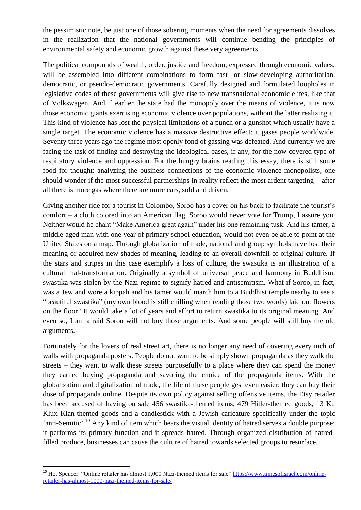the pessimistic note, be just one of those sobering moments when the need for agreements dissolves in the realization that the national governments will continue bending the principles of environmental safety and economic growth against these very agreements.

The political compounds of wealth, order, justice and freedom, expressed through economic values, will be assembled into different combinations to form fast- or slow-developing authoritarian, democratic, or pseudo-democratic governments. Carefully designed and formulated loopholes in legislative codes of these governments will give rise to new transnational economic elites, like that of Volkswagen. And if earlier the state had the monopoly over the means of violence, it is now those economic giants exercising economic violence over populations, without the latter realizing it. This kind of violence has lost the physical limitations of a punch or a gunshot which usually have a single target. The economic violence has a massive destructive effect: it gases people worldwide. Seventy three years ago the regime most openly fond of gassing was defeated. And currently we are facing the task of finding and destroying the ideological bases, if any, for the now covered type of respiratory violence and oppression. For the hungry brains reading this essay, there is still some food for thought: analyzing the business connections of the economic violence monopolists, one should wonder if the most successful partnerships in reality reflect the most ardent targeting – after all there is more gas where there are more cars, sold and driven.

Giving another ride for a tourist in Colombo, Soroo has a cover on his back to facilitate the tourist's comfort – a cloth colored into an American flag. Soroo would never vote for Trump, I assure you. Neither would he chant "Make America great again" under his one remaining tusk. And his tamer, a middle-aged man with one year of primary school education, would not even be able to point at the United States on a map. Through globalization of trade, national and group symbols have lost their meaning or acquired new shades of meaning, leading to an overall downfall of original culture. If the stars and stripes in this case exemplify a loss of culture, the swastika is an illustration of a cultural mal-transformation. Originally a symbol of universal peace and harmony in Buddhism, swastika was stolen by the Nazi regime to signify hatred and antisemitism. What if Soroo, in fact, was a Jew and wore a kippah and his tamer would march him to a Buddhist temple nearby to see a "beautiful swastika" (my own blood is still chilling when reading those two words) laid out flowers on the floor? It would take a lot of years and effort to return swastika to its original meaning. And even so, I am afraid Soroo will not buy those arguments. And some people will still buy the old arguments.

Fortunately for the lovers of real street art, there is no longer any need of covering every inch of walls with propaganda posters. People do not want to be simply shown propaganda as they walk the streets – they want to walk these streets purposefully to a place where they can spend the money they earned buying propaganda and savoring the choice of the propaganda items. With the globalization and digitalization of trade, the life of these people gest even easier: they can buy their dose of propaganda online. Despite its own policy against selling offensive items, the Etsy retailer has been accused of having on sale 456 swastika-themed items, 479 Hitler-themed goods, 13 Ku Klux Klan-themed goods and a candlestick with a Jewish caricature specifically under the topic 'anti-Semitic'.<sup>10</sup> Any kind of item which bears the visual identity of hatred serves a double purpose: it performs its primary function and it spreads hatred. Through organized distribution of hatredfilled produce, businesses can cause the culture of hatred towards selected groups to resurface.

**.** 

<sup>&</sup>lt;sup>10</sup> Ho, Spencer. "Online retailer has almost 1,000 Nazi-themed items for sale" [https://www.timesofisrael.com/online](https://www.timesofisrael.com/online-retailer-has-almost-1000-nazi-themed-items-for-sale/)[retailer-has-almost-1000-nazi-themed-items-for-sale/](https://www.timesofisrael.com/online-retailer-has-almost-1000-nazi-themed-items-for-sale/)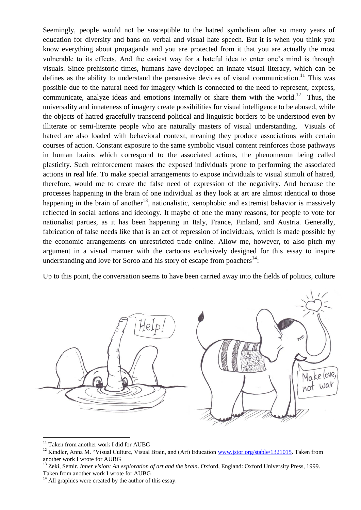Seemingly, people would not be susceptible to the hatred symbolism after so many years of education for diversity and bans on verbal and visual hate speech. But it is when you think you know everything about propaganda and you are protected from it that you are actually the most vulnerable to its effects. And the easiest way for a hateful idea to enter one's mind is through visuals. Since prehistoric times, humans have developed an innate visual literacy, which can be defines as the ability to understand the persuasive devices of visual communication.<sup>11</sup> This was possible due to the natural need for imagery which is connected to the need to represent, express, communicate, analyze ideas and emotions internally or share them with the world.<sup>12</sup> Thus, the universality and innateness of imagery create possibilities for visual intelligence to be abused, while the objects of hatred gracefully transcend political and linguistic borders to be understood even by illiterate or semi-literate people who are naturally masters of visual understanding. Visuals of hatred are also loaded with behavioral context, meaning they produce associations with certain courses of action. Constant exposure to the same symbolic visual content reinforces those pathways in human brains which correspond to the associated actions, the phenomenon being called plasticity. Such reinforcement makes the exposed individuals prone to performing the associated actions in real life. To make special arrangements to expose individuals to visual stimuli of hatred, therefore, would me to create the false need of expression of the negativity. And because the processes happening in the brain of one individual as they look at art are almost identical to those happening in the brain of another<sup>13</sup>, nationalistic, xenophobic and extremist behavior is massively reflected in social actions and ideology. It maybe of one the many reasons, for people to vote for nationalist parties, as it has been happening in Italy, France, Finland, and Austria. Generally, fabrication of false needs like that is an act of repression of individuals, which is made possible by the economic arrangements on unrestricted trade online. Allow me, however, to also pitch my argument in a visual manner with the cartoons exclusively designed for this essay to inspire understanding and love for Soroo and his story of escape from poachers $^{14}$ :

Up to this point, the conversation seems to have been carried away into the fields of politics, culture



<sup>&</sup>lt;sup>11</sup> Taken from another work I did for AUBG

1

<sup>&</sup>lt;sup>12</sup> Kindler, Anna M. "Visual Culture, Visual Brain, and (Art) Education [www.jstor.org/stable/1321015.](http://www.jstor.org/stable/1321015) Taken from another work I wrote for AUBG

<sup>13</sup> Zeki, Semir. *Inner vision: An exploration of art and the brain*. Oxford, England: Oxford University Press, 1999. Taken from another work I wrote for AUBG

 $14$  All graphics were created by the author of this essay.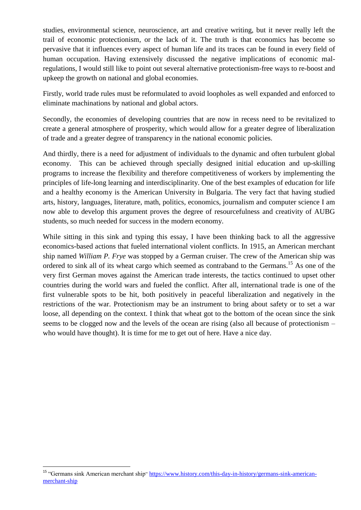studies, environmental science, neuroscience, art and creative writing, but it never really left the trail of economic protectionism, or the lack of it. The truth is that economics has become so pervasive that it influences every aspect of human life and its traces can be found in every field of human occupation. Having extensively discussed the negative implications of economic malregulations, I would still like to point out several alternative protectionism-free ways to re-boost and upkeep the growth on national and global economies.

Firstly, world trade rules must be reformulated to avoid loopholes as well expanded and enforced to eliminate machinations by national and global actors.

Secondly, the economies of developing countries that are now in recess need to be revitalized to create a general atmosphere of prosperity, which would allow for a greater degree of liberalization of trade and a greater degree of transparency in the national economic policies.

And thirdly, there is a need for adjustment of individuals to the dynamic and often turbulent global economy. This can be achieved through specially designed initial education and up-skilling programs to increase the flexibility and therefore competitiveness of workers by implementing the principles of life-long learning and interdisciplinarity. One of the best examples of education for life and a healthy economy is the American University in Bulgaria. The very fact that having studied arts, history, languages, literature, math, politics, economics, journalism and computer science I am now able to develop this argument proves the degree of resourcefulness and creativity of AUBG students, so much needed for success in the modern economy.

While sitting in this sink and typing this essay, I have been thinking back to all the aggressive economics-based actions that fueled international violent conflicts. In 1915, an American merchant ship named *William P. Frye* was stopped by a German cruiser. The crew of the American ship was ordered to sink all of its wheat cargo which seemed as contraband to the Germans.<sup>15</sup> As one of the very first German moves against the American trade interests, the tactics continued to upset other countries during the world wars and fueled the conflict. After all, international trade is one of the first vulnerable spots to be hit, both positively in peaceful liberalization and negatively in the restrictions of the war. Protectionism may be an instrument to bring about safety or to set a war loose, all depending on the context. I think that wheat got to the bottom of the ocean since the sink seems to be clogged now and the levels of the ocean are rising (also all because of protectionism – who would have thought). It is time for me to get out of here. Have a nice day.

**.** 

<sup>&</sup>lt;sup>15</sup> "Germans sink American merchant ship" [https://www.history.com/this-day-in-history/germans-sink-american](https://www.history.com/this-day-in-history/germans-sink-american-merchant-ship)[merchant-ship](https://www.history.com/this-day-in-history/germans-sink-american-merchant-ship)